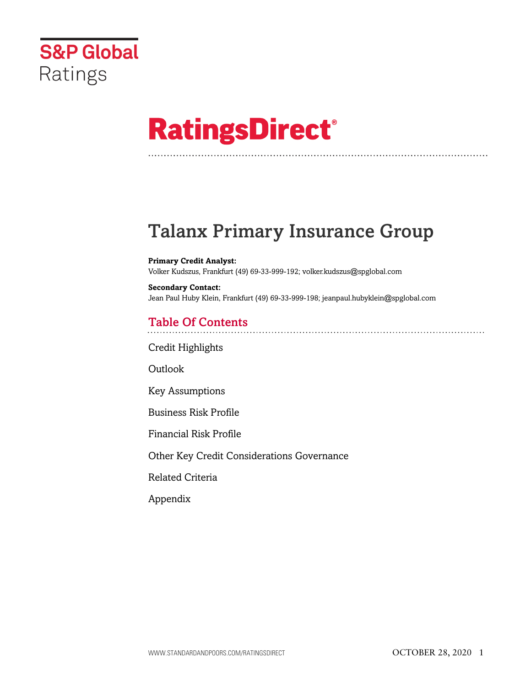

# **RatingsDirect®**

# Talanx Primary Insurance Group

**Primary Credit Analyst:** Volker Kudszus, Frankfurt (49) 69-33-999-192; volker.kudszus@spglobal.com

**Secondary Contact:** Jean Paul Huby Klein, Frankfurt (49) 69-33-999-198; jeanpaul.hubyklein@spglobal.com

# Table Of Contents

[Credit Highlights](#page-1-0)

[Outlook](#page--1-0)

[Key Assumptions](#page-2-0)

[Business Risk Profile](#page-3-0)

[Financial Risk Profile](#page-3-1)

[Other Key Credit Considerations Governance](#page-4-0)

[Related Criteria](#page-5-0)

[Appendix](#page-6-0)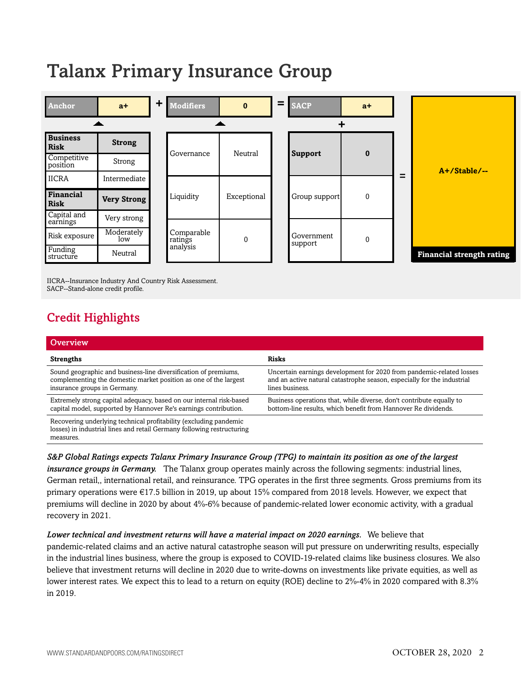# Talanx Primary Insurance Group



IICRA--Insurance Industry And Country Risk Assessment. SACP--Stand-alone credit profile.

# <span id="page-1-0"></span>Credit Highlights

| Overview                                                                                                                                                            |                                                                                                                                                                    |
|---------------------------------------------------------------------------------------------------------------------------------------------------------------------|--------------------------------------------------------------------------------------------------------------------------------------------------------------------|
| <b>Strengths</b>                                                                                                                                                    | <b>Risks</b>                                                                                                                                                       |
| Sound geographic and business-line diversification of premiums,<br>complementing the domestic market position as one of the largest<br>insurance groups in Germany. | Uncertain earnings development for 2020 from pandemic-related losses<br>and an active natural catastrophe season, especially for the industrial<br>lines business. |
| Extremely strong capital adequacy, based on our internal risk-based<br>capital model, supported by Hannover Re's earnings contribution.                             | Business operations that, while diverse, don't contribute equally to<br>bottom-line results, which benefit from Hannover Re dividends.                             |
| Recovering underlying technical profitability (excluding pandemic<br>losses) in industrial lines and retail Germany following restructuring<br>measures.            |                                                                                                                                                                    |

*S&P Global Ratings expects Talanx Primary Insurance Group (TPG) to maintain its position as one of the largest insurance groups in Germany.* The Talanx group operates mainly across the following segments: industrial lines, German retail,, international retail, and reinsurance. TPG operates in the first three segments. Gross premiums from its primary operations were €17.5 billion in 2019, up about 15% compared from 2018 levels. However, we expect that premiums will decline in 2020 by about 4%-6% because of pandemic-related lower economic activity, with a gradual recovery in 2021.

#### *Lower technical and investment returns will have a material impact on 2020 earnings.* We believe that

pandemic-related claims and an active natural catastrophe season will put pressure on underwriting results, especially in the industrial lines business, where the group is exposed to COVID-19-related claims like business closures. We also believe that investment returns will decline in 2020 due to write-downs on investments like private equities, as well as lower interest rates. We expect this to lead to a return on equity (ROE) decline to 2%-4% in 2020 compared with 8.3% in 2019.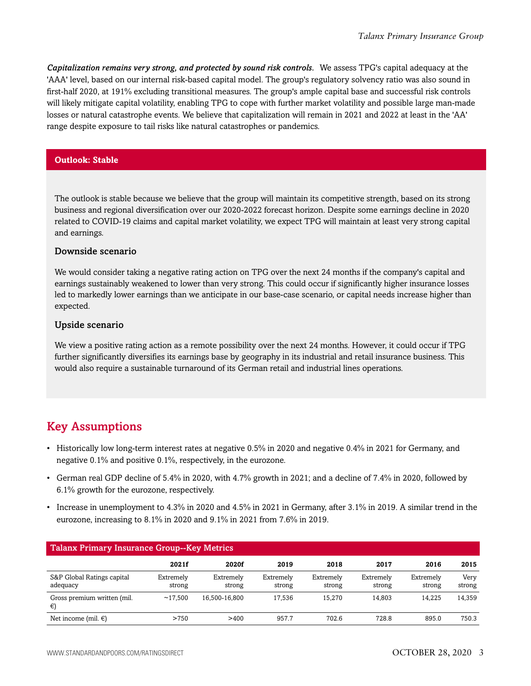*Capitalization remains very strong, and protected by sound risk controls.* We assess TPG's capital adequacy at the 'AAA' level, based on our internal risk-based capital model. The group's regulatory solvency ratio was also sound in first-half 2020, at 191% excluding transitional measures. The group's ample capital base and successful risk controls will likely mitigate capital volatility, enabling TPG to cope with further market volatility and possible large man-made losses or natural catastrophe events. We believe that capitalization will remain in 2021 and 2022 at least in the 'AA' range despite exposure to tail risks like natural catastrophes or pandemics.

### **Outlook: Stable**

The outlook is stable because we believe that the group will maintain its competitive strength, based on its strong business and regional diversification over our 2020-2022 forecast horizon. Despite some earnings decline in 2020 related to COVID-19 claims and capital market volatility, we expect TPG will maintain at least very strong capital and earnings.

#### Downside scenario

We would consider taking a negative rating action on TPG over the next 24 months if the company's capital and earnings sustainably weakened to lower than very strong. This could occur if significantly higher insurance losses led to markedly lower earnings than we anticipate in our base-case scenario, or capital needs increase higher than expected.

#### Upside scenario

We view a positive rating action as a remote possibility over the next 24 months. However, it could occur if TPG further significantly diversifies its earnings base by geography in its industrial and retail insurance business. This would also require a sustainable turnaround of its German retail and industrial lines operations.

# <span id="page-2-0"></span>Key Assumptions

- Historically low long-term interest rates at negative 0.5% in 2020 and negative 0.4% in 2021 for Germany, and negative 0.1% and positive 0.1%, respectively, in the eurozone.
- German real GDP decline of 5.4% in 2020, with 4.7% growth in 2021; and a decline of 7.4% in 2020, followed by 6.1% growth for the eurozone, respectively.
- Increase in unemployment to 4.3% in 2020 and 4.5% in 2021 in Germany, after 3.1% in 2019. A similar trend in the eurozone, increasing to 8.1% in 2020 and 9.1% in 2021 from 7.6% in 2019.

| <b>Talanx Primary Insurance Group--Key Metrics</b> |                     |                     |                     |                     |                     |                     |                |
|----------------------------------------------------|---------------------|---------------------|---------------------|---------------------|---------------------|---------------------|----------------|
|                                                    | 2021f               | 2020f               | 2019                | 2018                | 2017                | 2016                | 2015           |
| S&P Global Ratings capital<br>adequacy             | Extremely<br>strong | Extremely<br>strong | Extremely<br>strong | Extremely<br>strong | Extremely<br>strong | Extremely<br>strong | Very<br>strong |
| Gross premium written (mil.<br>€)                  | ~17.500             | 16.500-16.800       | 17.536              | 15.270              | 14.803              | 14.225              | 14,359         |
| Net income (mil. $\in$ )                           | >750                | >400                | 957.7               | 702.6               | 728.8               | 895.0               | 750.3          |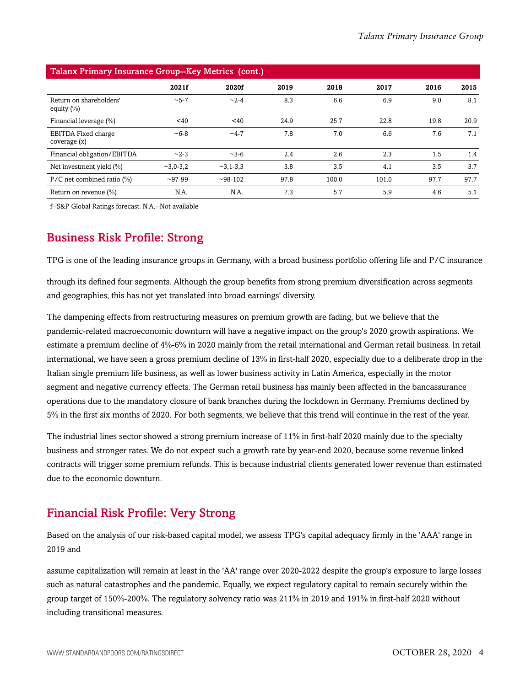| Talanx Primary Insurance Group--Key Metrics (cont.) |              |              |      |       |       |      |      |
|-----------------------------------------------------|--------------|--------------|------|-------|-------|------|------|
|                                                     | 2021f        | 2020f        | 2019 | 2018  | 2017  | 2016 | 2015 |
| Return on shareholders'<br>equity $(\%)$            | $~1 - 5 - 7$ | $~2 - 4$     | 8.3  | 6.6   | 6.9   | 9.0  | 8.1  |
| Financial leverage (%)                              | $<$ 40       | $<$ 40       | 24.9 | 25.7  | 22.8  | 19.8 | 20.9 |
| EBITDA Fixed charge<br>coverage (x)                 | $~16 - 8$    | $-4-7$       | 7.8  | 7.0   | 6.6   | 7.6  | 7.1  |
| Financial obligation/EBITDA                         | $~2 - 3$     | $~1 - 3 - 6$ | 2.4  | 2.6   | 2.3   | 1.5  | 1.4  |
| Net investment yield $(\% )$                        | $-3,0-3,2$   | $-3,1-3,3$   | 3.8  | 3.5   | 4.1   | 3.5  | 3.7  |
| $P/C$ net combined ratio $(\%)$                     | $-97-99$     | $-98-102$    | 97.8 | 100.0 | 101.0 | 97.7 | 97.7 |
| Return on revenue $\frac{1}{2}$                     | N.A.         | N.A.         | 7.3  | 5.7   | 5.9   | 4.6  | 5.1  |

Talanx Primary Insurance Group--Key Metrics (cont.)

<span id="page-3-0"></span>f--S&P Global Ratings forecast. N.A.--Not available

# Business Risk Profile: Strong

TPG is one of the leading insurance groups in Germany, with a broad business portfolio offering life and P/C insurance

through its defined four segments. Although the group benefits from strong premium diversification across segments and geographies, this has not yet translated into broad earnings' diversity.

The dampening effects from restructuring measures on premium growth are fading, but we believe that the pandemic-related macroeconomic downturn will have a negative impact on the group's 2020 growth aspirations. We estimate a premium decline of 4%-6% in 2020 mainly from the retail international and German retail business. In retail international, we have seen a gross premium decline of 13% in first-half 2020, especially due to a deliberate drop in the Italian single premium life business, as well as lower business activity in Latin America, especially in the motor segment and negative currency effects. The German retail business has mainly been affected in the bancassurance operations due to the mandatory closure of bank branches during the lockdown in Germany. Premiums declined by 5% in the first six months of 2020. For both segments, we believe that this trend will continue in the rest of the year.

The industrial lines sector showed a strong premium increase of 11% in first-half 2020 mainly due to the specialty business and stronger rates. We do not expect such a growth rate by year-end 2020, because some revenue linked contracts will trigger some premium refunds. This is because industrial clients generated lower revenue than estimated due to the economic downturn.

# <span id="page-3-1"></span>Financial Risk Profile: Very Strong

Based on the analysis of our risk-based capital model, we assess TPG's capital adequacy firmly in the 'AAA' range in 2019 and

assume capitalization will remain at least in the 'AA' range over 2020-2022 despite the group's exposure to large losses such as natural catastrophes and the pandemic. Equally, we expect regulatory capital to remain securely within the group target of 150%-200%. The regulatory solvency ratio was 211% in 2019 and 191% in first-half 2020 without including transitional measures.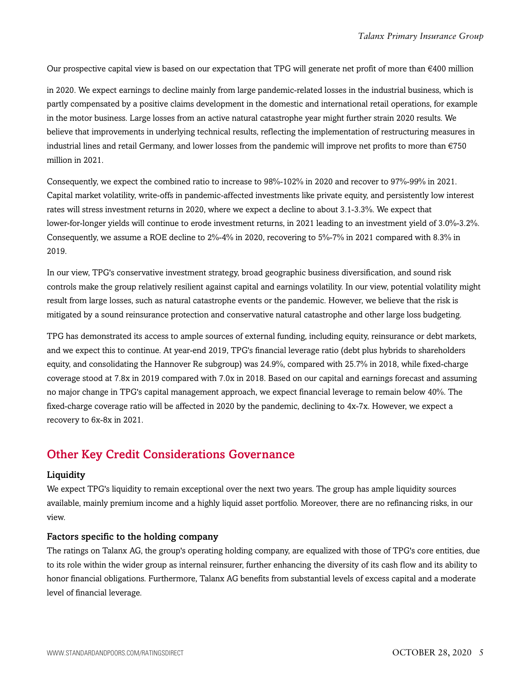Our prospective capital view is based on our expectation that TPG will generate net profit of more than  $\epsilon$ 400 million

in 2020. We expect earnings to decline mainly from large pandemic-related losses in the industrial business, which is partly compensated by a positive claims development in the domestic and international retail operations, for example in the motor business. Large losses from an active natural catastrophe year might further strain 2020 results. We believe that improvements in underlying technical results, reflecting the implementation of restructuring measures in industrial lines and retail Germany, and lower losses from the pandemic will improve net profits to more than €750 million in 2021.

Consequently, we expect the combined ratio to increase to 98%-102% in 2020 and recover to 97%-99% in 2021. Capital market volatility, write-offs in pandemic-affected investments like private equity, and persistently low interest rates will stress investment returns in 2020, where we expect a decline to about 3.1-3.3%. We expect that lower-for-longer yields will continue to erode investment returns, in 2021 leading to an investment yield of 3.0%-3.2%. Consequently, we assume a ROE decline to 2%-4% in 2020, recovering to 5%-7% in 2021 compared with 8.3% in 2019.

In our view, TPG's conservative investment strategy, broad geographic business diversification, and sound risk controls make the group relatively resilient against capital and earnings volatility. In our view, potential volatility might result from large losses, such as natural catastrophe events or the pandemic. However, we believe that the risk is mitigated by a sound reinsurance protection and conservative natural catastrophe and other large loss budgeting.

TPG has demonstrated its access to ample sources of external funding, including equity, reinsurance or debt markets, and we expect this to continue. At year-end 2019, TPG's financial leverage ratio (debt plus hybrids to shareholders equity, and consolidating the Hannover Re subgroup) was 24.9%, compared with 25.7% in 2018, while fixed-charge coverage stood at 7.8x in 2019 compared with 7.0x in 2018. Based on our capital and earnings forecast and assuming no major change in TPG's capital management approach, we expect financial leverage to remain below 40%. The fixed-charge coverage ratio will be affected in 2020 by the pandemic, declining to 4x-7x. However, we expect a recovery to 6x-8x in 2021.

# <span id="page-4-0"></span>Other Key Credit Considerations Governance

#### **Liquidity**

We expect TPG's liquidity to remain exceptional over the next two years. The group has ample liquidity sources available, mainly premium income and a highly liquid asset portfolio. Moreover, there are no refinancing risks, in our view.

#### Factors specific to the holding company

The ratings on Talanx AG, the group's operating holding company, are equalized with those of TPG's core entities, due to its role within the wider group as internal reinsurer, further enhancing the diversity of its cash flow and its ability to honor financial obligations. Furthermore, Talanx AG benefits from substantial levels of excess capital and a moderate level of financial leverage.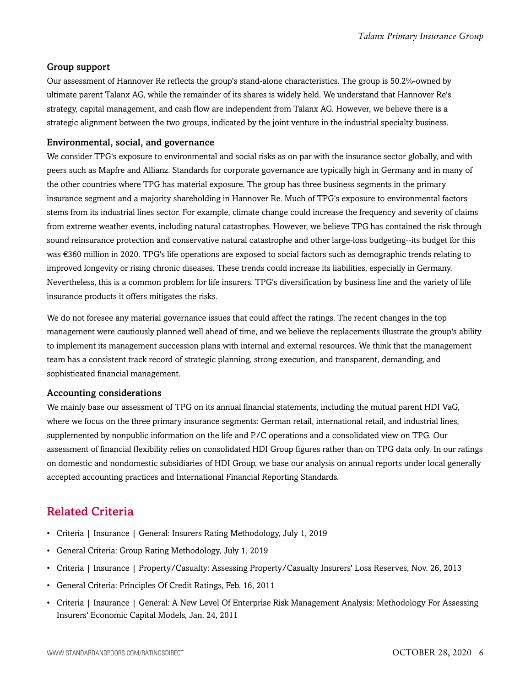## Group support

Our assessment of Hannover Re reflects the group's stand-alone characteristics. The group is 50.2%-owned by ultimate parent Talanx AG, while the remainder of its shares is widely held. We understand that Hannover Re's strategy, capital management, and cash flow are independent from Talanx AG. However, we believe there is a strategic alignment between the two groups, indicated by the joint venture in the industrial specialty business.

### Environmental, social, and governance

We consider TPG's exposure to environmental and social risks as on par with the insurance sector globally, and with peers such as Mapfre and Allianz. Standards for corporate governance are typically high in Germany and in many of the other countries where TPG has material exposure. The group has three business segments in the primary insurance segment and a majority shareholding in Hannover Re. Much of TPG's exposure to environmental factors stems from its industrial lines sector. For example, climate change could increase the frequency and severity of claims from extreme weather events, including natural catastrophes. However, we believe TPG has contained the risk through sound reinsurance protection and conservative natural catastrophe and other large-loss budgeting--its budget for this was €360 million in 2020. TPG's life operations are exposed to social factors such as demographic trends relating to improved longevity or rising chronic diseases. These trends could increase its liabilities, especially in Germany. Nevertheless, this is a common problem for life insurers. TPG's diversification by business line and the variety of life insurance products it offers mitigates the risks.

We do not foresee any material governance issues that could affect the ratings. The recent changes in the top management were cautiously planned well ahead of time, and we believe the replacements illustrate the group's ability to implement its management succession plans with internal and external resources. We think that the management team has a consistent track record of strategic planning, strong execution, and transparent, demanding, and sophisticated financial management.

#### Accounting considerations

We mainly base our assessment of TPG on its annual financial statements, including the mutual parent HDI VaG, where we focus on the three primary insurance segments: German retail, international retail, and industrial lines, supplemented by nonpublic information on the life and P/C operations and a consolidated view on TPG. Our assessment of financial flexibility relies on consolidated HDI Group figures rather than on TPG data only. In our ratings on domestic and nondomestic subsidiaries of HDI Group, we base our analysis on annual reports under local generally accepted accounting practices and International Financial Reporting Standards.

# <span id="page-5-0"></span>Related Criteria

- Criteria | Insurance | General: Insurers Rating Methodology, July 1, 2019
- General Criteria: Group Rating Methodology, July 1, 2019
- Criteria | Insurance | Property/Casualty: Assessing Property/Casualty Insurers' Loss Reserves, Nov. 26, 2013
- General Criteria: Principles Of Credit Ratings, Feb. 16, 2011
- Criteria | Insurance | General: A New Level Of Enterprise Risk Management Analysis: Methodology For Assessing Insurers' Economic Capital Models, Jan. 24, 2011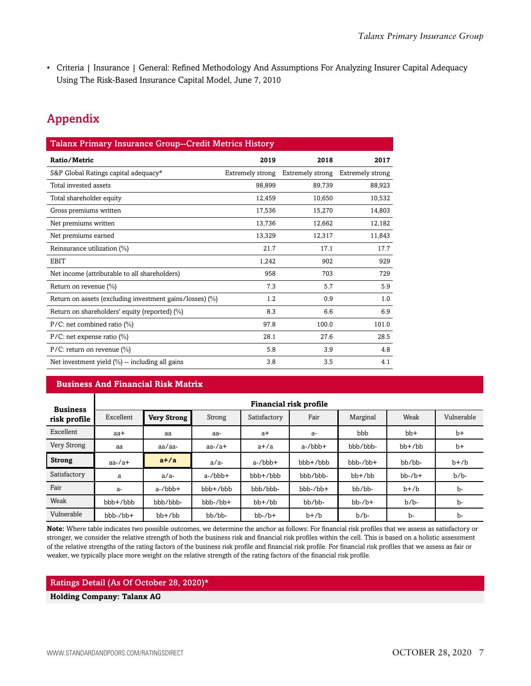• Criteria | Insurance | General: Refined Methodology And Assumptions For Analyzing Insurer Capital Adequacy Using The Risk-Based Insurance Capital Model, June 7, 2010

# <span id="page-6-0"></span>Appendix

| <b>Talanx Primary Insurance Group--Credit Metrics History</b> |                  |                  |                  |  |  |  |
|---------------------------------------------------------------|------------------|------------------|------------------|--|--|--|
| Ratio/Metric                                                  | 2019             | 2018             | 2017             |  |  |  |
| S&P Global Ratings capital adequacy*                          | Extremely strong | Extremely strong | Extremely strong |  |  |  |
| Total invested assets                                         | 98,899           | 89,739           | 88,923           |  |  |  |
| Total shareholder equity                                      | 12,459           | 10,650           | 10,532           |  |  |  |
| Gross premiums written                                        | 17,536           | 15,270           | 14,803           |  |  |  |
| Net premiums written                                          | 13,736           | 12,662           | 12,182           |  |  |  |
| Net premiums earned                                           | 13,329           | 12,317           | 11,843           |  |  |  |
| Reinsurance utilization (%)                                   | 21.7             | 17.1             | 17.7             |  |  |  |
| <b>EBIT</b>                                                   | 1,242            | 902              | 929              |  |  |  |
| Net income (attributable to all shareholders)                 | 958              | 703              | 729              |  |  |  |
| Return on revenue (%)                                         | 7.3              | 5.7              | 5.9              |  |  |  |
| Return on assets (excluding investment gains/losses) (%)      | 1.2              | 0.9              | 1.0              |  |  |  |
| Return on shareholders' equity (reported) (%)                 | 8.3              | 6.6              | 6.9              |  |  |  |
| $P/C$ : net combined ratio (%)                                | 97.8             | 100.0            | 101.0            |  |  |  |
| $P/C$ : net expense ratio $(\%)$                              | 28.1             | 27.6             | 28.5             |  |  |  |
| $P/C$ : return on revenue $(\%)$                              | 5.8              | 3.9              | 4.8              |  |  |  |
| Net investment yield $(\%)$ -- including all gains            | 3.8              | 3.5              | 4.1              |  |  |  |

### **Business And Financial Risk Matrix**

| <b>Business</b> | Financial risk profile |                    |               |              |              |              |              |            |
|-----------------|------------------------|--------------------|---------------|--------------|--------------|--------------|--------------|------------|
| risk profile    | Excellent              | <b>Very Strong</b> | Strong        | Satisfactory | Fair         | Marginal     | Weak         | Vulnerable |
| Excellent       | aa+                    | aa                 | aa-           | $a+$         | a-           | bbb          | $bb+$        | $b+$       |
| Very Strong     | aa                     | aa/aa-             | $aa$ -/ $a$ + | $a+/a$       | $a$ -/bbb+   | bbb/bbb-     | $bb+$ / $bb$ | $b+$       |
| <b>Strong</b>   | $aa$ -/ $a$ +          | $a+/a$             | $a/a-$        | $a$ -/ $bbb$ | $bbb + /bbb$ | bbb-/bb+     | bb/bb-       | $b+b$      |
| Satisfactory    | a                      | $a/a-$             | $a$ -/ $bbb$  | $bbb+b$      | bbb/bbb-     | $bb+$ / $bb$ | $bb-$ / $b+$ | $b/b$ -    |
| Fair            | a-                     | $a$ -/ $bbb$       | $bbb + /bbb$  | bbb/bbb-     | $bbb-/bb+$   | bb/bb-       | $b+b$        | $b-$       |
| Weak            | bbb+/bbb               | bbb/bbb-           | $bbb-/bb+$    | $bb+/bb$     | bb/bb-       | $bb-/b+$     | $b/b$ -      | $b-$       |
| Vulnerable      | $bbb-/bb+$             | $bb+$ / $bb$       | bb/bb-        | $bb-$ / $b+$ | $b+b$        | $b/b$ -      | $b-$         | $b-$       |

**Note:** Where table indicates two possible outcomes, we determine the anchor as follows: For financial risk profiles that we assess as satisfactory or stronger, we consider the relative strength of both the business risk and financial risk profiles within the cell. This is based on a holistic assessment of the relative strengths of the rating factors of the business risk profile and financial risk profile. For financial risk profiles that we assess as fair or weaker, we typically place more weight on the relative strength of the rating factors of the financial risk profile.

#### Ratings Detail (As Of October 28, 2020)\*

**Holding Company: Talanx AG**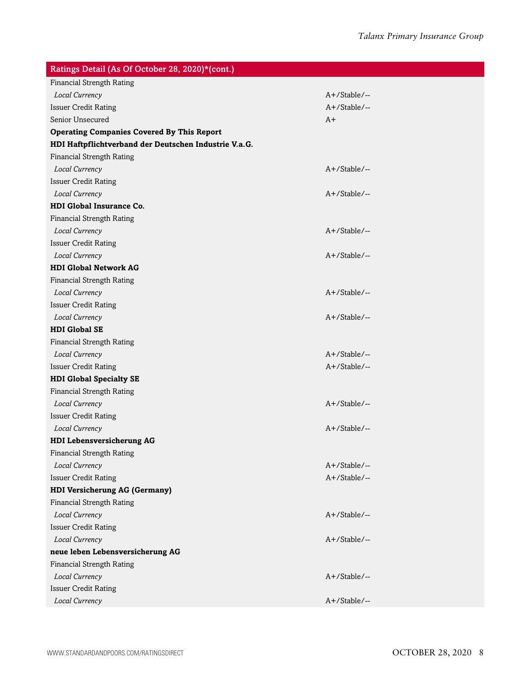| Ratings Detail (As Of October 28, 2020)*(cont.)       |                 |
|-------------------------------------------------------|-----------------|
| <b>Financial Strength Rating</b>                      |                 |
| Local Currency                                        | A+/Stable/--    |
| <b>Issuer Credit Rating</b>                           | A+/Stable/--    |
| Senior Unsecured                                      | A+              |
| <b>Operating Companies Covered By This Report</b>     |                 |
| HDI Haftpflichtverband der Deutschen Industrie V.a.G. |                 |
| <b>Financial Strength Rating</b>                      |                 |
| Local Currency                                        | A+/Stable/--    |
| <b>Issuer Credit Rating</b>                           |                 |
| Local Currency                                        | A+/Stable/--    |
| <b>HDI Global Insurance Co.</b>                       |                 |
| <b>Financial Strength Rating</b>                      |                 |
| Local Currency                                        | A+/Stable/--    |
| <b>Issuer Credit Rating</b>                           |                 |
| Local Currency                                        | A+/Stable/--    |
| <b>HDI Global Network AG</b>                          |                 |
| <b>Financial Strength Rating</b>                      |                 |
| Local Currency                                        | A+/Stable/--    |
| <b>Issuer Credit Rating</b>                           |                 |
| Local Currency                                        | A+/Stable/--    |
| <b>HDI Global SE</b>                                  |                 |
| <b>Financial Strength Rating</b>                      |                 |
| Local Currency                                        | $A+$ /Stable/-- |
| <b>Issuer Credit Rating</b>                           | A+/Stable/--    |
| <b>HDI Global Specialty SE</b>                        |                 |
| <b>Financial Strength Rating</b>                      |                 |
| Local Currency                                        | A+/Stable/--    |
| <b>Issuer Credit Rating</b>                           |                 |
| Local Currency                                        | A+/Stable/--    |
| <b>HDI Lebensversicherung AG</b>                      |                 |
| <b>Financial Strength Rating</b>                      |                 |
| Local Currency                                        | A+/Stable/--    |
| <b>Issuer Credit Rating</b>                           | A+/Stable/--    |
| <b>HDI Versicherung AG (Germany)</b>                  |                 |
| <b>Financial Strength Rating</b>                      |                 |
| Local Currency                                        | A+/Stable/--    |
| <b>Issuer Credit Rating</b>                           |                 |
| Local Currency                                        | A+/Stable/--    |
| neue leben Lebensversicherung AG                      |                 |
| <b>Financial Strength Rating</b>                      |                 |
| Local Currency                                        | A+/Stable/--    |
| <b>Issuer Credit Rating</b>                           |                 |
| Local Currency                                        | A+/Stable/--    |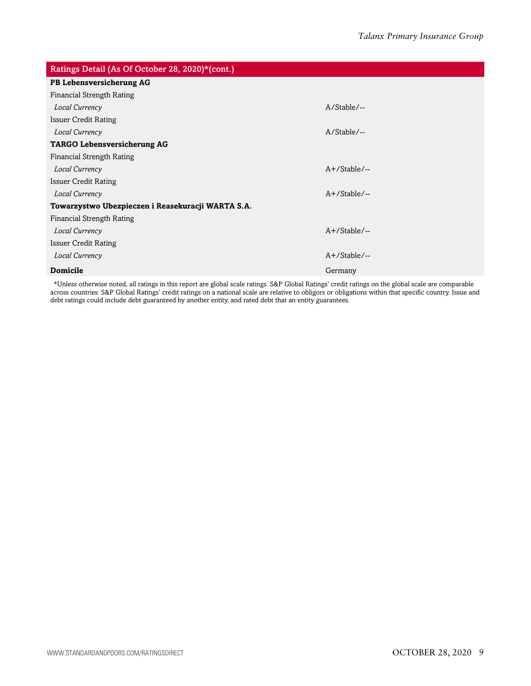| Ratings Detail (As Of October 28, 2020)*(cont.)   |                 |  |  |  |  |
|---------------------------------------------------|-----------------|--|--|--|--|
| PB Lebensversicherung AG                          |                 |  |  |  |  |
| Financial Strength Rating                         |                 |  |  |  |  |
| Local Currency                                    | $A/Stable/$ --  |  |  |  |  |
| <b>Issuer Credit Rating</b>                       |                 |  |  |  |  |
| Local Currency                                    | $A/Stable/$ --  |  |  |  |  |
| <b>TARGO Lebensversicherung AG</b>                |                 |  |  |  |  |
| Financial Strength Rating                         |                 |  |  |  |  |
| Local Currency                                    | $A+$ /Stable/-- |  |  |  |  |
| <b>Issuer Credit Rating</b>                       |                 |  |  |  |  |
| Local Currency                                    | $A+$ /Stable/-- |  |  |  |  |
| Towarzystwo Ubezpieczen i Reasekuracji WARTA S.A. |                 |  |  |  |  |
| Financial Strength Rating                         |                 |  |  |  |  |
| Local Currency                                    | $A+$ /Stable/-- |  |  |  |  |
| <b>Issuer Credit Rating</b>                       |                 |  |  |  |  |
| Local Currency                                    | $A+$ /Stable/-- |  |  |  |  |
| <b>Domicile</b>                                   | Germany         |  |  |  |  |

\*Unless otherwise noted, all ratings in this report are global scale ratings. S&P Global Ratings' credit ratings on the global scale are comparable across countries. S&P Global Ratings' credit ratings on a national scale are relative to obligors or obligations within that specific country. Issue and debt ratings could include debt guaranteed by another entity, and rated debt that an entity guarantees.